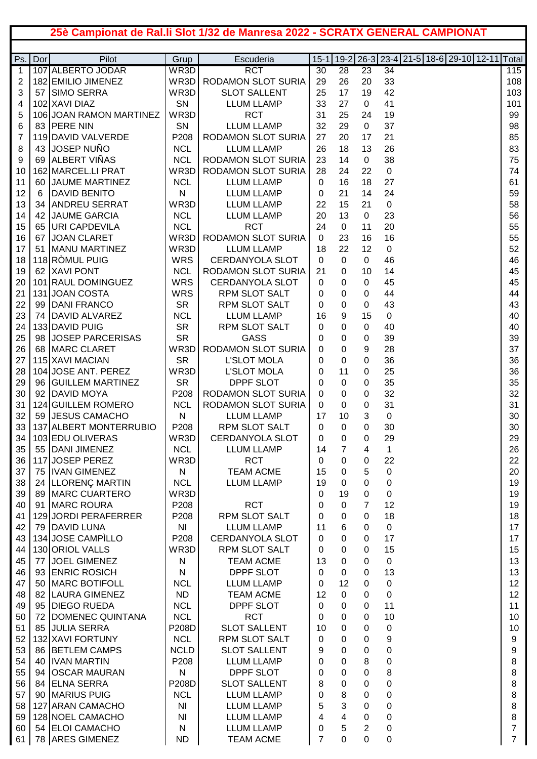## **25è Campionat de Ral.li Slot 1/32 de Manresa 2022 - SCRATX GENERAL CAMPIONAT**

| Ps.      | Dor | Pilot                                | Grup                             | Escuderia                              | $15 - 1$ |             |                     | 19-2   26-3   23-4   21-5   18-6   29-10   12-11   Total |                     |
|----------|-----|--------------------------------------|----------------------------------|----------------------------------------|----------|-------------|---------------------|----------------------------------------------------------|---------------------|
| 1        |     | 107 ALBERTO JODAR                    | WR3D                             | <b>RCT</b>                             | 30       | 28          | 23                  | 34                                                       | 115                 |
| 2        |     | 182 EMILIO JIMENEZ                   | WR3D                             | RODAMON SLOT SURIA                     | 29       | 26          | 20                  | 33                                                       | 108                 |
| 3        | 57  | <b>SIMO SERRA</b>                    | WR3D                             | <b>SLOT SALLENT</b>                    | 25       | 17          | 19                  | 42                                                       | 103                 |
| 4        |     | 102 XAVI DIAZ                        | SN                               | <b>LLUM LLAMP</b>                      | 33       | 27          | $\mathbf 0$         | 41                                                       | 101                 |
| 5        |     | 106 JOAN RAMON MARTINEZ              | WR3D                             | <b>RCT</b>                             | 31       | 25          | 24                  | 19                                                       | 99                  |
| 6        | 83  | <b>PERE NIN</b>                      | SN                               | <b>LLUM LLAMP</b>                      | 32       | 29          | 0                   | 37                                                       | 98                  |
| 7        |     | 119 DAVID VALVERDE                   | P208                             | <b>RODAMON SLOT SURIA</b>              | 27       | 20          | 17                  | 21                                                       | 85                  |
| 8        | 43  | <b>JOSEP NUÑO</b>                    | <b>NCL</b>                       | <b>LLUM LLAMP</b>                      | 26       | 18          | 13                  | 26                                                       | 83                  |
| 9        | 69  | <b>ALBERT VIÑAS</b>                  | <b>NCL</b>                       | <b>RODAMON SLOT SURIA</b>              | 23       | 14          | $\mathbf 0$         | 38                                                       | 75                  |
| 10       |     | 162 MARCEL.LI PRAT                   | WR3D                             | RODAMON SLOT SURIA                     | 28       | 24          | 22                  | $\mathbf 0$                                              | 74                  |
| 11       | 60  | <b>JAUME MARTINEZ</b>                | <b>NCL</b>                       | <b>LLUM LLAMP</b>                      | 0        | 16          | 18                  | 27                                                       | 61                  |
| 12       | 6   | <b>DAVID BENITO</b>                  | N                                | <b>LLUM LLAMP</b>                      | 0        | 21          | 14                  | 24                                                       | 59                  |
| 13       | 34  | <b>ANDREU SERRAT</b>                 | WR3D                             | <b>LLUM LLAMP</b>                      | 22       | 15          | 21                  | $\mathbf 0$                                              | 58                  |
| 14       | 42  | <b>JAUME GARCIA</b>                  | <b>NCL</b>                       | <b>LLUM LLAMP</b>                      | 20       | 13          | $\mathbf 0$         | 23                                                       | 56                  |
| 15       | 65  | <b>URI CAPDEVILA</b>                 | <b>NCL</b>                       | <b>RCT</b>                             | 24       | 0           | 11                  | 20                                                       | 55                  |
| 16       | 67  | <b>JOAN CLARET</b>                   | WR3D                             | RODAMON SLOT SURIA                     | 0        | 23          | 16                  | 16                                                       | 55                  |
| 17       | 51  | <b>I</b> MANU MARTINEZ               | WR3D                             | <b>LLUM LLAMP</b>                      | 18       | 22          | 12                  | $\mathbf 0$                                              | 52                  |
| 18       |     | 118 RÒMUL PUIG                       | <b>WRS</b>                       | <b>CERDANYOLA SLOT</b>                 | 0        | 0           | 0                   | 46                                                       | 46                  |
| 19       | 62  | <b>XAVI PONT</b>                     | <b>NCL</b>                       | RODAMON SLOT SURIA                     | 21       | 0           | 10                  | 14                                                       | 45                  |
| 20       |     | 101 RAUL DOMINGUEZ                   | <b>WRS</b>                       | <b>CERDANYOLA SLOT</b>                 | 0        | 0           | 0                   | 45                                                       | 45                  |
| 21       | 131 | <b>JOAN COSTA</b>                    | <b>WRS</b>                       | <b>RPM SLOT SALT</b>                   | 0        | 0           | 0                   | 44                                                       | 44                  |
| 22       | 99  | <b>DANI FRANCO</b>                   | <b>SR</b>                        | <b>RPM SLOT SALT</b>                   | 0        | 0           | 0                   | 43                                                       | 43                  |
| 23       | 74  | DAVID ALVAREZ                        | <b>NCL</b>                       | <b>LLUM LLAMP</b>                      | 16       | 9           | 15                  | $\mathbf 0$                                              | 40                  |
| 24       |     | 133 DAVID PUIG                       | <b>SR</b>                        | <b>RPM SLOT SALT</b>                   | 0        | 0           | 0                   | 40                                                       | 40                  |
| 25       | 98  | <b>JOSEP PARCERISAS</b>              | <b>SR</b>                        | GASS                                   | 0        | 0           | 0                   | 39                                                       | 39                  |
| 26       | 68  | MARC CLARET                          | WR3D                             | RODAMON SLOT SURIA                     | 0        | 0           | 9                   | 28                                                       | 37                  |
| 27       |     | 115 XAVI MACIAN                      | <b>SR</b>                        | <b>L'SLOT MOLA</b>                     | 0        | 0           | 0                   | 36                                                       | 36                  |
| 28       |     | 104 JOSE ANT. PEREZ                  | WR3D                             | <b>L'SLOT MOLA</b>                     | 0        | 11          | 0                   | 25                                                       | 36                  |
| 29       | 96  | <b>GUILLEM MARTINEZ</b>              | <b>SR</b>                        | <b>DPPF SLOT</b>                       | 0        | 0           | 0                   | 35                                                       | 35                  |
| 30       | 92  | <b>DAVID MOYA</b>                    | P208                             | RODAMON SLOT SURIA                     | 0        | 0           | 0                   | 32                                                       | 32                  |
| 31       |     | 124 GUILLEM ROMERO                   | <b>NCL</b>                       | RODAMON SLOT SURIA                     | 0        | 0           | 0                   | 31                                                       | 31                  |
| 32       | 59  | <b>JESUS CAMACHO</b>                 | N                                | <b>LLUM LLAMP</b>                      | 17       | 10          | 3                   | 0                                                        | 30                  |
| 33       |     | 137 ALBERT MONTERRUBIO               | P208                             | <b>RPM SLOT SALT</b>                   | 0        | 0           | 0                   | 30                                                       | 30                  |
| 34       |     | 103 EDU OLIVERAS                     | WR3D                             | <b>CERDANYOLA SLOT</b>                 | 0        | 0           | 0                   | 29                                                       | 29                  |
| 35       |     | 55 DANI JIMENEZ                      | <b>NCL</b>                       | <b>LLUM LLAMP</b>                      | 14       | 7           | 4                   | 1                                                        | 26                  |
| 36       |     | 117 JOSEP PEREZ                      | WR3D                             | <b>RCT</b>                             | 0        | 0           | 0                   | 22                                                       | 22                  |
| 37       | 75  | <b>IVAN GIMENEZ</b>                  | ${\sf N}$                        | <b>TEAM ACME</b>                       | 15       | 0           | 5                   | $\pmb{0}$                                                | 20                  |
| 38       |     | 24 LLORENÇ MARTIN                    | <b>NCL</b>                       | <b>LLUM LLAMP</b>                      | 19       | 0           | 0                   | $\mathbf 0$                                              | 19                  |
| 39       | 89  | <b>MARC CUARTERO</b>                 | WR3D                             |                                        | 0        | 19          | $\mathbf 0$         | $\pmb{0}$                                                | 19                  |
| 40       | 91  | MARC ROURA                           | P208                             | <b>RCT</b>                             | 0        | 0           | $\overline{7}$      | 12                                                       | 19                  |
| 41       |     | 129 JORDI PERAFERRER                 | P208                             | <b>RPM SLOT SALT</b>                   | 0        | 0           | 0                   | 18                                                       | 18                  |
| 42       | 79  | <b>DAVID LUNA</b>                    | NI                               | <b>LLUM LLAMP</b>                      | 11       | 6           | 0                   | $\pmb{0}$                                                | 17                  |
| 43       |     | 134 JOSE CAMPILLO                    | P208                             | <b>CERDANYOLA SLOT</b>                 | 0        | 0           | $\boldsymbol{0}$    | 17                                                       | 17                  |
| 44       |     | 130 ORIOL VALLS                      | WR3D                             | <b>RPM SLOT SALT</b>                   | 0        | $\pmb{0}$   | $\boldsymbol{0}$    | 15                                                       | 15                  |
| 45       | 77  | JOEL GIMENEZ                         | N                                | <b>TEAM ACME</b>                       | 13       | $\pmb{0}$   | $\boldsymbol{0}$    | $\pmb{0}$                                                | 13                  |
| 46       | 93  | <b>ENRIC ROSICH</b>                  | ${\sf N}$                        | DPPF SLOT                              | 0        | $\mathbf 0$ | $\boldsymbol{0}$    | 13                                                       | 13                  |
| 47       | 50  | <b>MARC BOTIFOLL</b>                 | <b>NCL</b>                       | <b>LLUM LLAMP</b>                      | 0        | 12          | 0                   | $\mathbf 0$                                              | 12                  |
| 48       | 82  | <b>LAURA GIMENEZ</b>                 | <b>ND</b>                        | <b>TEAM ACME</b>                       | 12       | 0           | 0                   | $\mathbf 0$                                              | 12                  |
| 49       | 95  | <b>DIEGO RUEDA</b>                   | <b>NCL</b>                       | <b>DPPF SLOT</b>                       | 0        | 0           | 0                   | 11                                                       | 11                  |
| 50       | 72  | DOMENEC QUINTANA                     | <b>NCL</b>                       | <b>RCT</b>                             | 0        | 0           | 0                   | 10                                                       | 10                  |
| 51       | 85  | <b>JULIA SERRA</b>                   | P208D                            | <b>SLOT SALLENT</b>                    | 10       | 0           | 0                   | 0                                                        | 10                  |
| 52       |     | 132 XAVI FORTUNY                     | <b>NCL</b>                       | <b>RPM SLOT SALT</b>                   | 0        | 0           | 0                   | 9                                                        | 9                   |
| 53       | 86  | <b>BETLEM CAMPS</b>                  | <b>NCLD</b>                      | <b>SLOT SALLENT</b>                    | 9        | 0           | 0                   | 0                                                        | 9                   |
| 54       | 40  | <b>IVAN MARTIN</b>                   | P208                             | <b>LLUM LLAMP</b>                      | 0        | 0           | 8                   | 0                                                        | 8                   |
| 55       | 94  | <b>OSCAR MAURAN</b>                  | $\mathsf{N}$                     | DPPF SLOT                              | 0        | 0           | 0                   | 8                                                        | 8                   |
| 56       |     | 84 ELNA SERRA                        | P208D                            | <b>SLOT SALLENT</b>                    | 8        | 0           | 0                   | 0                                                        | 8                   |
| 57       |     | 90 MARIUS PUIG                       | <b>NCL</b>                       | <b>LLUM LLAMP</b>                      | 0        | 8           | 0                   | 0                                                        | 8                   |
| 58       |     | 127 ARAN CAMACHO<br>128 NOEL CAMACHO | N <sub>l</sub><br>N <sub>l</sub> | <b>LLUM LLAMP</b><br><b>LLUM LLAMP</b> | 5<br>4   | 3           | 0                   | 0<br>0                                                   | 8                   |
| 59<br>60 |     | 54 ELOI CAMACHO                      | N                                | <b>LLUM LLAMP</b>                      | 0        | 4<br>5      | 0<br>$\overline{2}$ | 0                                                        | 8<br>$\overline{7}$ |
| 61       |     | 78 ARES GIMENEZ                      | <b>ND</b>                        | <b>TEAM ACME</b>                       | 7        | $\Omega$    | 0                   | 0                                                        | $\overline{7}$      |
|          |     |                                      |                                  |                                        |          |             |                     |                                                          |                     |